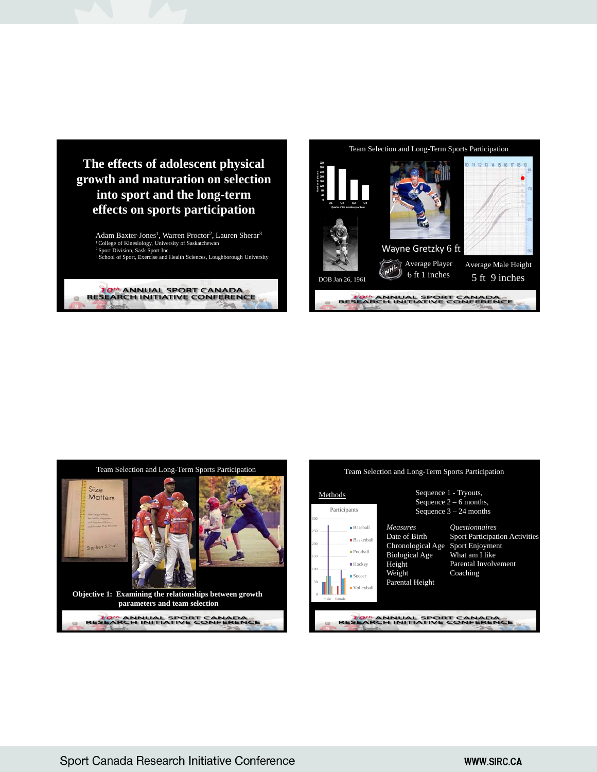

Adam Baxter-Jones<sup>1</sup>, Warren Proctor<sup>2</sup>, Lauren Sherar<sup>3</sup> 1 College of Kinesiology, University of Saskatchewan 2 Sport Division, Sask Sport Inc. <sup>3</sup> School of Sport, Exercise and Health Sciences, Loughborough University